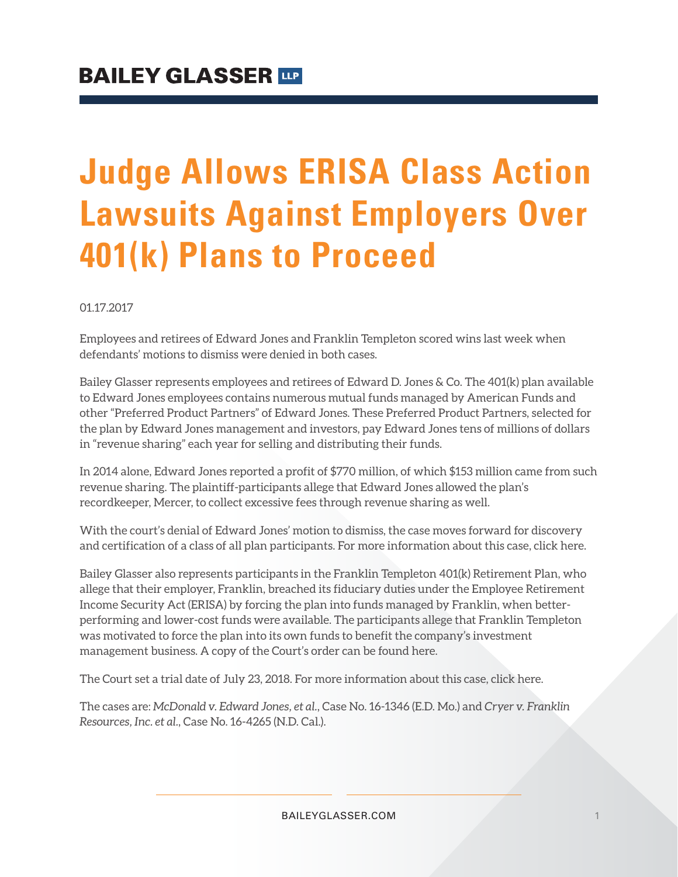# **Judge Allows ERISA Class Action Lawsuits Against Employers Over 401(k) Plans to Proceed**

01.17.2017

Employees and retirees of Edward Jones and Franklin Templeton scored wins last week when defendants' motions to dismiss were denied in both cases.

Bailey Glasser represents employees and retirees of Edward D. Jones & Co. The 401(k) plan available to Edward Jones employees contains numerous mutual funds managed by American Funds and other "Preferred Product Partners" of Edward Jones. These Preferred Product Partners, selected for the plan by Edward Jones management and investors, pay Edward Jones tens of millions of dollars in "revenue sharing" each year for selling and distributing their funds.

In 2014 alone, Edward Jones reported a profit of \$770 million, of which \$153 million came from such revenue sharing. The plaintiff-participants allege that Edward Jones allowed the plan's recordkeeper, Mercer, to collect excessive fees through revenue sharing as well.

With the court's denial of Edward Jones' motion to dismiss, the case moves forward for discovery and certification of a class of all plan participants. For more information about this case, click here.

Bailey Glasser also represents participants in the Franklin Templeton 401(k) Retirement Plan, who allege that their employer, Franklin, breached its fiduciary duties under the Employee Retirement Income Security Act (ERISA) by forcing the plan into funds managed by Franklin, when betterperforming and lower-cost funds were available. The participants allege that Franklin Templeton was motivated to force the plan into its own funds to benefit the company's investment management business. A copy of the Court's order can be found here.

The Court set a trial date of July 23, 2018. For more information about this case, click here.

The cases are: *McDonald v. Edward Jones, et al.*, Case No. 16-1346 (E.D. Mo.) and *Cryer v. Franklin Resources, Inc. et al.*, Case No. 16-4265 (N.D. Cal.).